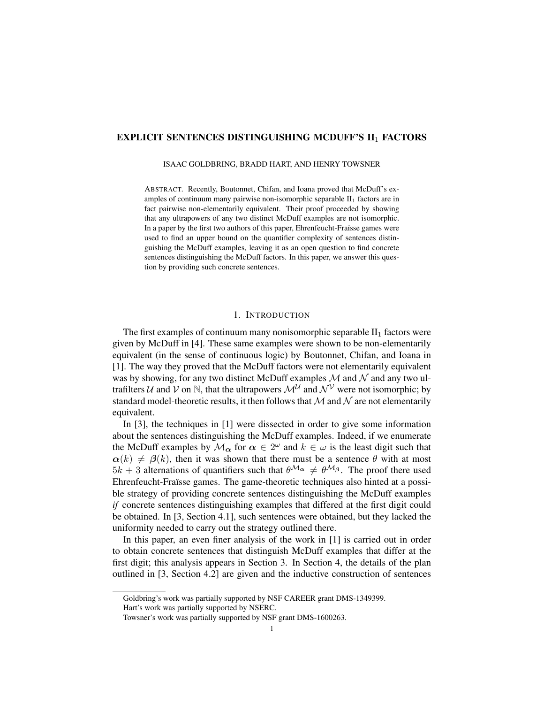## EXPLICIT SENTENCES DISTINGUISHING MCDUFF'S II<sub>1</sub> FACTORS

#### ISAAC GOLDBRING, BRADD HART, AND HENRY TOWSNER

ABSTRACT. Recently, Boutonnet, Chifan, and Ioana proved that McDuff's examples of continuum many pairwise non-isomorphic separable  $II_1$  factors are in fact pairwise non-elementarily equivalent. Their proof proceeded by showing that any ultrapowers of any two distinct McDuff examples are not isomorphic. In a paper by the first two authors of this paper, Ehrenfeucht-Fraïsse games were used to find an upper bound on the quantifier complexity of sentences distinguishing the McDuff examples, leaving it as an open question to find concrete sentences distinguishing the McDuff factors. In this paper, we answer this question by providing such concrete sentences.

# 1. INTRODUCTION

The first examples of continuum many nonisomorphic separable  $II_1$  factors were given by McDuff in [4]. These same examples were shown to be non-elementarily equivalent (in the sense of continuous logic) by Boutonnet, Chifan, and Ioana in [1]. The way they proved that the McDuff factors were not elementarily equivalent was by showing, for any two distinct McDuff examples  $\mathcal M$  and  $\mathcal N$  and any two ultrafilters U and V on N, that the ultrapowers  $\mathcal{M}^{\mathcal{U}}$  and  $\mathcal{N}^{\mathcal{V}}$  were not isomorphic; by standard model-theoretic results, it then follows that  $M$  and  $N$  are not elementarily equivalent.

In [3], the techniques in [1] were dissected in order to give some information about the sentences distinguishing the McDuff examples. Indeed, if we enumerate the McDuff examples by  $\mathcal{M}_{\alpha}$  for  $\alpha \in 2^{\omega}$  and  $k \in \omega$  is the least digit such that  $\alpha(k) \neq \beta(k)$ , then it was shown that there must be a sentence  $\theta$  with at most  $5k + 3$  alternations of quantifiers such that  $\theta^{\mathcal{M}_{\alpha}} \neq \theta^{\mathcal{M}_{\beta}}$ . The proof there used Ehrenfeucht-Fraïsse games. The game-theoretic techniques also hinted at a possible strategy of providing concrete sentences distinguishing the McDuff examples *if* concrete sentences distinguishing examples that differed at the first digit could be obtained. In [3, Section 4.1], such sentences were obtained, but they lacked the uniformity needed to carry out the strategy outlined there.

In this paper, an even finer analysis of the work in [1] is carried out in order to obtain concrete sentences that distinguish McDuff examples that differ at the first digit; this analysis appears in Section 3. In Section 4, the details of the plan outlined in [3, Section 4.2] are given and the inductive construction of sentences

Goldbring's work was partially supported by NSF CAREER grant DMS-1349399.

Hart's work was partially supported by NSERC.

Towsner's work was partially supported by NSF grant DMS-1600263.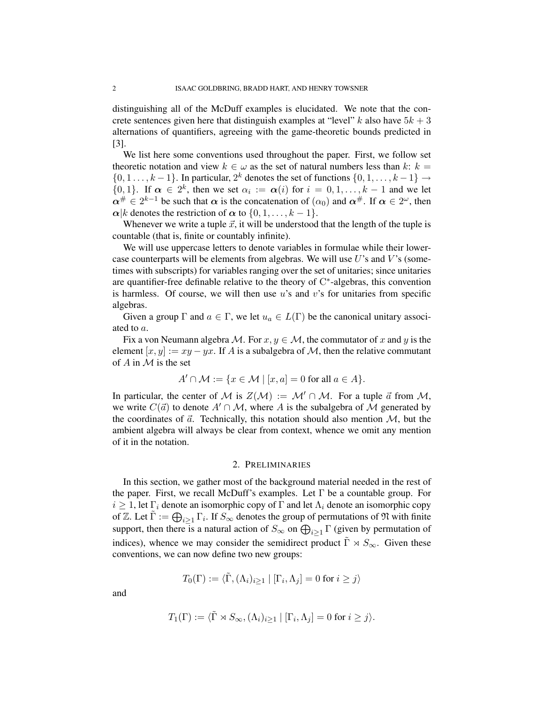distinguishing all of the McDuff examples is elucidated. We note that the concrete sentences given here that distinguish examples at "level" k also have  $5k + 3$ alternations of quantifiers, agreeing with the game-theoretic bounds predicted in [3].

We list here some conventions used throughout the paper. First, we follow set theoretic notation and view  $k \in \omega$  as the set of natural numbers less than k:  $k =$  $\{0, 1, \ldots, k-1\}$ . In particular,  $2^k$  denotes the set of functions  $\{0, 1, \ldots, k-1\} \rightarrow$  $\{0,1\}$ . If  $\alpha \in 2^k$ , then we set  $\alpha_i := \alpha(i)$  for  $i = 0,1,\ldots,k-1$  and we let  $\alpha^{\#} \in 2^{k-1}$  be such that  $\alpha$  is the concatenation of  $(\alpha_0)$  and  $\alpha^{\#}$ . If  $\alpha \in 2^{\omega}$ , then  $\alpha|k$  denotes the restriction of  $\alpha$  to  $\{0, 1, \ldots, k-1\}.$ 

Whenever we write a tuple  $\vec{x}$ , it will be understood that the length of the tuple is countable (that is, finite or countably infinite).

We will use uppercase letters to denote variables in formulae while their lowercase counterparts will be elements from algebras. We will use  $U$ 's and  $V$ 's (sometimes with subscripts) for variables ranging over the set of unitaries; since unitaries are quantifier-free definable relative to the theory of  $C^*$ -algebras, this convention is harmless. Of course, we will then use  $u$ 's and  $v$ 's for unitaries from specific algebras.

Given a group  $\Gamma$  and  $a \in \Gamma$ , we let  $u_a \in L(\Gamma)$  be the canonical unitary associated to a.

Fix a von Neumann algebra M. For  $x, y \in M$ , the commutator of x and y is the element  $[x, y] := xy - yx$ . If A is a subalgebra of M, then the relative commutant of  $A$  in  $M$  is the set

$$
A' \cap \mathcal{M} := \{ x \in \mathcal{M} \mid [x, a] = 0 \text{ for all } a \in A \}.
$$

In particular, the center of M is  $Z(\mathcal{M}) := \mathcal{M}' \cap \mathcal{M}$ . For a tuple  $\vec{a}$  from M, we write  $C(\vec{a})$  to denote  $A' \cap M$ , where A is the subalgebra of M generated by the coordinates of  $\vec{a}$ . Technically, this notation should also mention  $M$ , but the ambient algebra will always be clear from context, whence we omit any mention of it in the notation.

### 2. PRELIMINARIES

In this section, we gather most of the background material needed in the rest of the paper. First, we recall McDuff's examples. Let  $\Gamma$  be a countable group. For  $i \geq 1$ , let  $\Gamma_i$  denote an isomorphic copy of  $\Gamma$  and let  $\Lambda_i$  denote an isomorphic copy of Z. Let  $\tilde{\Gamma} := \bigoplus_{i \geq 1} \Gamma_i$ . If  $S_{\infty}$  denotes the group of permutations of  $\mathfrak N$  with finite support, then there is a natural action of  $S_{\infty}$  on  $\bigoplus_{i\geq 1} \Gamma$  (given by permutation of indices), whence we may consider the semidirect product  $\tilde{\Gamma} \rtimes S_{\infty}$ . Given these conventions, we can now define two new groups:

$$
T_0(\Gamma) := \langle \tilde{\Gamma}, (\Lambda_i)_{i \ge 1} | [\Gamma_i, \Lambda_j] = 0 \text{ for } i \ge j \rangle
$$

and

$$
T_1(\Gamma) := \langle \tilde{\Gamma} \rtimes S_{\infty}, (\Lambda_i)_{i \ge 1} | [\Gamma_i, \Lambda_j] = 0 \text{ for } i \ge j \rangle.
$$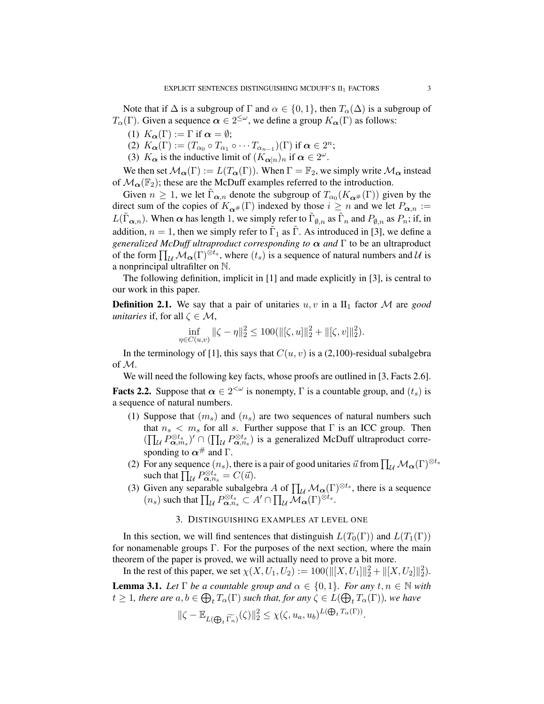Note that if  $\Delta$  is a subgroup of  $\Gamma$  and  $\alpha \in \{0,1\}$ , then  $T_{\alpha}(\Delta)$  is a subgroup of  $T_{\alpha}(\Gamma)$ . Given a sequence  $\alpha \in 2^{\leq \omega}$ , we define a group  $K_{\alpha}(\Gamma)$  as follows:

- (1)  $K_{\alpha}(\Gamma) := \Gamma$  if  $\alpha = \emptyset$ ;
- (2)  $K_{\boldsymbol{\alpha}}(\Gamma) := (T_{\alpha_0} \circ T_{\alpha_1} \circ \cdots T_{\alpha_{n-1}})(\Gamma)$  if  $\boldsymbol{\alpha} \in 2^n$ ;
- (3)  $K_{\alpha}$  is the inductive limit of  $(K_{\alpha|n})_n$  if  $\alpha \in 2^{\omega}$ .

We then set  $\mathcal{M}_{\alpha}(\Gamma) := L(T_{\alpha}(\Gamma))$ . When  $\Gamma = \mathbb{F}_2$ , we simply write  $\mathcal{M}_{\alpha}$  instead of  $\mathcal{M}_{\alpha}(\mathbb{F}_2)$ ; these are the McDuff examples referred to the introduction.

Given  $n \geq 1$ , we let  $\tilde{\Gamma}_{\alpha,n}$  denote the subgroup of  $T_{\alpha_0}(K_{\alpha^{\#}}(\Gamma))$  given by the direct sum of the copies of  $K_{\alpha}$  (Γ) indexed by those  $i \geq n$  and we let  $P_{\alpha,n}$  :=  $L(\tilde{\Gamma}_{\alpha,n})$ . When  $\alpha$  has length 1, we simply refer to  $\tilde{\Gamma}_{\emptyset,n}$  as  $\tilde{\Gamma}_n$  and  $P_{\emptyset,n}$  as  $P_n$ ; if, in addition,  $n = 1$ , then we simply refer to  $\tilde{\Gamma}_1$  as  $\tilde{\Gamma}$ . As introduced in [3], we define a *generalized McDuff ultraproduct corresponding to*  $\alpha$  *and*  $\Gamma$  to be an ultraproduct of the form  $\prod_{\mathcal{U}} \mathcal{M}_{\alpha}(\Gamma)^{\otimes t_s}$ , where  $(t_s)$  is a sequence of natural numbers and  $\mathcal{U}$  is a nonprincipal ultrafilter on N.

The following definition, implicit in [1] and made explicitly in [3], is central to our work in this paper.

**Definition 2.1.** We say that a pair of unitaries  $u, v$  in a  $\text{II}_1$  factor M are *good unitaries* if, for all  $\zeta \in \mathcal{M}$ ,

$$
\inf_{\eta \in C(u,v)} \|\zeta - \eta\|_2^2 \le 100(\|[\zeta, u]\|_2^2 + \|[\zeta, v]\|_2^2).
$$

In the terminology of [1], this says that  $C(u, v)$  is a (2,100)-residual subalgebra of M.

We will need the following key facts, whose proofs are outlined in [3, Facts 2.6].

**Facts 2.2.** Suppose that  $\alpha \in 2^{<\omega}$  is nonempty,  $\Gamma$  is a countable group, and  $(t_s)$  is a sequence of natural numbers.

- (1) Suppose that  $(m<sub>s</sub>)$  and  $(n<sub>s</sub>)$  are two sequences of natural numbers such that  $n_s < m_s$  for all s. Further suppose that  $\Gamma$  is an ICC group. Then  $(\prod_{\mathcal{U}} P^{\otimes t_s}_{\alpha,m_s})' \cap (\prod_{\mathcal{U}} P^{\otimes t_s}_{\alpha,n_s})$  is a generalized McDuff ultraproduct corresponding to  $\alpha^{\#}$  and  $\Gamma$ .
- (2) For any sequence  $(n_s)$ , there is a pair of good unitaries  $\vec{u}$  from  $\prod_{\mathcal{U}} \mathcal{M}_{\alpha}(\Gamma)^{\otimes t_s}$ such that  $\prod_{\mathcal{U}} P_{\alpha,n_s}^{\otimes t_s} = C(\vec{u}).$
- (3) Given any separable subalgebra A of  $\prod_{\mathcal{U}} \mathcal{M}_{\alpha}(\Gamma)^{\otimes t_s}$ , there is a sequence  $(n_s)$  such that  $\prod_{\mathcal{U}} P_{\alpha,n_s}^{\otimes t_s} \subset A' \cap \prod_{\mathcal{U}} \overline{\mathcal{M}}_{\alpha}(\Gamma)^{\otimes t_s}.$

## 3. DISTINGUISHING EXAMPLES AT LEVEL ONE

In this section, we will find sentences that distinguish  $L(T_0(\Gamma))$  and  $L(T_1(\Gamma))$ for nonamenable groups  $\Gamma$ . For the purposes of the next section, where the main theorem of the paper is proved, we will actually need to prove a bit more.

In the rest of this paper, we set  $\chi(X, U_1, U_2) := 100(\| [X, U_1] \|_2^2 + \| [X, U_2] \|_2^2)$ .

**Lemma 3.1.** *Let*  $\Gamma$  *be a countable group and*  $\alpha \in \{0, 1\}$ *. For any*  $t, n \in \mathbb{N}$  *with*  $t \geq 1$ , there are  $a, b \in \bigoplus_t T_\alpha(\Gamma)$  such that, for any  $\zeta \in L(\bigoplus_t T_\alpha(\Gamma))$ , we have

$$
\|\zeta - \mathbb{E}_{L(\bigoplus_{t} \widetilde{\Gamma_n})}(\zeta)\|_2^2 \leq \chi(\zeta, u_a, u_b)^{L(\bigoplus_t T_\alpha(\Gamma))}.
$$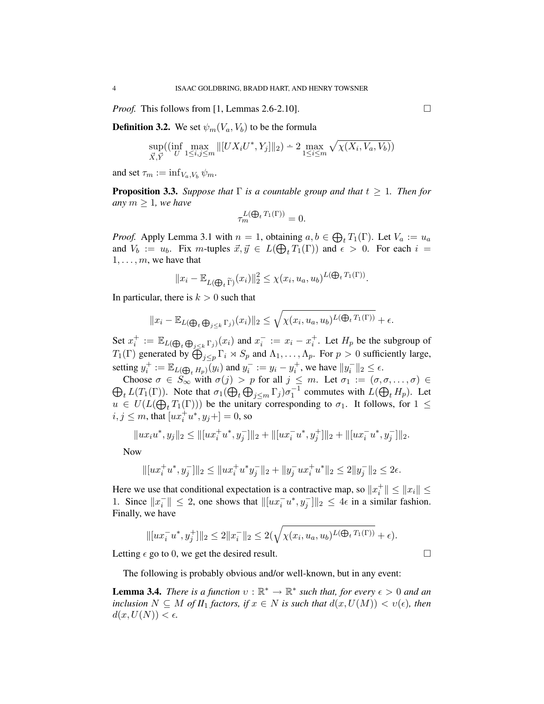*Proof.* This follows from [1, Lemmas 2.6-2.10].

**Definition 3.2.** We set  $\psi_m(V_a, V_b)$  to be the formula

$$
\sup_{\vec{X}, \vec{Y}} \left( \inf_{U} \max_{1 \le i, j \le m} \| [UX_i U^*, Y_j] \|_2 \right) \doteq 2 \max_{1 \le i \le m} \sqrt{\chi(X_i, V_a, V_b)} \right)
$$

and set  $\tau_m := \inf_{V_a, V_b} \psi_m$ .

**Proposition 3.3.** *Suppose that*  $\Gamma$  *is a countable group and that*  $t \geq 1$ *. Then for any*  $m \geq 1$ *, we have* 

$$
\tau_m^{L(\bigoplus_t T_1(\Gamma))} = 0.
$$

*Proof.* Apply Lemma 3.1 with  $n = 1$ , obtaining  $a, b \in \bigoplus_i T_1(\Gamma)$ . Let  $V_a := u_a$ and  $V_b := u_b$ . Fix *m*-tuples  $\vec{x}, \vec{y} \in L(\bigoplus_i T_1(\Gamma))$  and  $\epsilon > 0$ . For each  $i =$  $1, \ldots, m$ , we have that

$$
||x_i - \mathbb{E}_{L(\bigoplus_i \widetilde{\Gamma})}(x_i)||_2^2 \leq \chi(x_i, u_a, u_b)^{L(\bigoplus_i T_1(\Gamma))}.
$$

In particular, there is  $k > 0$  such that

$$
||x_i - \mathbb{E}_{L(\bigoplus_i \bigoplus_{j \leq k} \Gamma_j)}(x_i)||_2 \leq \sqrt{\chi(x_i, u_a, u_b)^{L(\bigoplus_i T_1(\Gamma))}} + \epsilon.
$$

Set  $x_i^+ := \mathbb{E}_{L(\bigoplus_i \bigoplus_{j < k} \Gamma_j)}(x_i)$  and  $x_i^- := x_i - x_i^+$ . Let  $H_p$  be the subgroup of  $T_1(\Gamma)$  generated by  $\bigoplus_{j\leq p}\Gamma_i\rtimes S_p$  and  $\Lambda_1,\ldots,\Lambda_p$ . For  $p>0$  sufficiently large, setting  $y_i^+ := \mathbb{E}_{L(\bigoplus_i H_p)}(y_i)$  and  $y_i^- := y_i - y_i^+$ , we have  $||y_i^-||_2 \le \epsilon$ .

 $\bigoplus_t L(T_1(\Gamma))$ . Note that  $\sigma_1(\bigoplus_t \bigoplus_{j \leq m} \Gamma_j) \sigma_1^{-1}$  commutes with  $L(\bigoplus_t H_p)$ . Let Choose  $\sigma \in S_{\infty}$  with  $\sigma(j) > p$  for all  $j \leq m$ . Let  $\sigma_1 := (\sigma, \sigma, \dots, \sigma) \in$  $u \in U(L(\bigoplus_i T_1(\Gamma)))$  be the unitary corresponding to  $\sigma_1$ . It follows, for  $1 \leq$  $i, j \le m$ , that  $[ux_i^+u^*, y_j+] = 0$ , so

$$
||ux_iu^*,y_j||_2 \le ||[ux_i^+u^*,y_j^-]||_2 + ||[ux_i^-u^*,y_j^+]||_2 + ||[ux_i^-u^*,y_j^-]||_2.
$$

Now

$$
\| [ux_i^+u^*,y_j^-]\|_2 \le \|ux_i^+u^*y_j^-\|_2 + \|y_j^-ux_i^+u^*\|_2 \le 2\|y_j^-\|_2 \le 2\epsilon.
$$

Here we use that conditional expectation is a contractive map, so  $||x_i^+|| \le ||x_i|| \le$ 1. Since  $||x_i^-|| \leq 2$ , one shows that  $||[ux_i^-u^*, y_j^-]||_2 \leq 4\epsilon$  in a similar fashion. Finally, we have

$$
\| [ux_i^- u^*, y_j^+] \|_2 \le 2 \|x_i^-\|_2 \le 2(\sqrt{\chi(x_i, u_a, u_b)^{L(\bigoplus_t T_1(\Gamma))}} + \epsilon).
$$

Letting  $\epsilon$  go to 0, we get the desired result.

The following is probably obvious and/or well-known, but in any event:

**Lemma 3.4.** *There is a function*  $v : \mathbb{R}^* \to \mathbb{R}^*$  *such that, for every*  $\epsilon > 0$  *and an inclusion*  $N \subseteq M$  *of*  $II_1$  *factors, if*  $x \in N$  *is such that*  $d(x, U(M)) < v(\epsilon)$ *, then*  $d(x, U(N)) < \epsilon$ .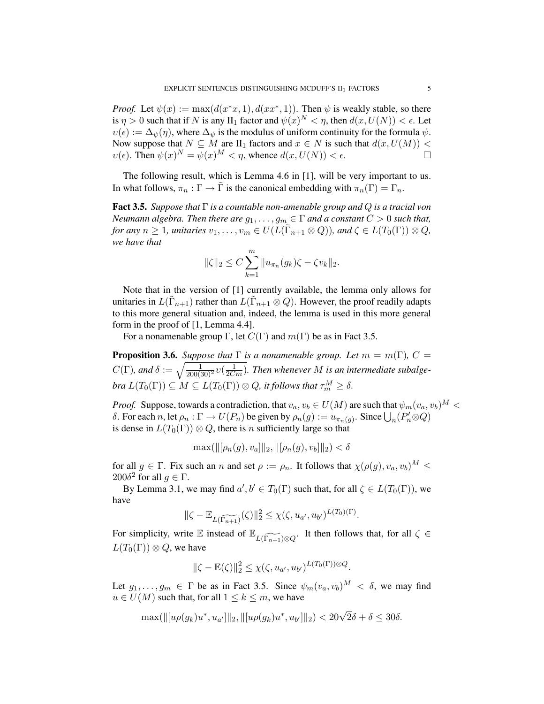*Proof.* Let  $\psi(x) := \max(d(x^*x, 1), d(xx^*, 1))$ . Then  $\psi$  is weakly stable, so there is  $\eta > 0$  such that if N is any  $\text{II}_1$  factor and  $\psi(x)^N < \eta$ , then  $d(x, U(N)) < \epsilon$ . Let  $v(\epsilon) := \Delta_{\psi}(\eta)$ , where  $\Delta_{\psi}$  is the modulus of uniform continuity for the formula  $\psi$ . Now suppose that  $N \subseteq M$  are  $II_1$  factors and  $x \in N$  is such that  $d(x, U(M))$  <  $v(\epsilon)$ . Then  $\psi(x)^N = \psi(x)^M < \eta$ , whence  $d(x, U(N)) < \epsilon$ .

The following result, which is Lemma 4.6 in [1], will be very important to us. In what follows,  $\pi_n : \Gamma \to \Gamma$  is the canonical embedding with  $\pi_n(\Gamma) = \Gamma_n$ .

Fact 3.5. *Suppose that* Γ *is a countable non-amenable group and* Q *is a tracial von Neumann algebra. Then there are*  $g_1, \ldots, g_m \in \Gamma$  *and a constant*  $C > 0$  *such that, for any*  $n \geq 1$ *, unitaries*  $v_1, \ldots, v_m \in U(L(\tilde{\Gamma}_{n+1} \otimes Q))$ *, and*  $\zeta \in L(T_0(\Gamma)) \otimes Q$ *, we have that*

$$
\|\zeta\|_2 \le C \sum_{k=1}^m \|u_{\pi_n}(g_k)\zeta - \zeta v_k\|_2.
$$

Note that in the version of [1] currently available, the lemma only allows for unitaries in  $L(\tilde{\Gamma}_{n+1})$  rather than  $L(\tilde{\Gamma}_{n+1} \otimes Q)$ . However, the proof readily adapts to this more general situation and, indeed, the lemma is used in this more general form in the proof of [1, Lemma 4.4].

For a nonamenable group Γ, let  $C(\Gamma)$  and  $m(\Gamma)$  be as in Fact 3.5.

**Proposition 3.6.** *Suppose that*  $\Gamma$  *is a nonamenable group. Let*  $m = m(\Gamma)$ *,*  $C =$  $C(\Gamma)$ , and  $\delta := \sqrt{\frac{1}{200(30)^2}v(\frac{1}{2Cm})}$ . Then whenever M is an intermediate subalgebra  $L(T_0(\Gamma))\subseteq M\subseteq L(T_0(\Gamma))\otimes Q$ , it follows that  $\tau_m^M\geq \delta.$ 

*Proof.* Suppose, towards a contradiction, that  $v_a, v_b \in U(M)$  are such that  $\psi_m(v_a, v_b)^M$ δ. For each n, let  $ρ_n : \Gamma \to U(P_n)$  be given by  $ρ_n(g) := u_{π_n(g)}$ . Since  $\bigcup_n (P'_n \otimes Q)$ is dense in  $L(T_0(\Gamma)) \otimes Q$ , there is n sufficiently large so that

$$
\max(||[\rho_n(g), v_a]||_2, ||[\rho_n(g), v_b]||_2) < \delta
$$

for all  $q \in \Gamma$ . Fix such an n and set  $\rho := \rho_n$ . It follows that  $\chi(\rho(q), v_a, v_b)^M \leq$ 200δ<sup>2</sup> for all  $g \in \Gamma$ .

By Lemma 3.1, we may find  $a', b' \in T_0(\Gamma)$  such that, for all  $\zeta \in L(T_0(\Gamma))$ , we have

$$
\|\zeta - \mathbb{E}_{L(\widetilde{\Gamma_{n+1}})}(\zeta)\|_2^2 \leq \chi(\zeta, u_{a'}, u_{b'})^{L(T_0)(\Gamma)}.
$$

For simplicity, write  $\mathbb E$  instead of  $\mathbb E_{L(\widetilde{\Gamma_{n+1}})\otimes Q}$ . It then follows that, for all  $\zeta \in$  $L(T_0(\Gamma)) \otimes Q$ , we have

$$
\|\zeta - \mathbb{E}(\zeta)\|_2^2 \leq \chi(\zeta, u_{a'}, u_{b'})^{L(T_0(\Gamma))\otimes Q}.
$$

Let  $g_1, \ldots, g_m \in \Gamma$  be as in Fact 3.5. Since  $\psi_m(v_a, v_b)^M < \delta$ , we may find  $u \in U(M)$  such that, for all  $1 \leq k \leq m$ , we have

$$
\max(\| [u\rho(g_k)u^*, u_{a'}] \|_2, \| [u\rho(g_k)u^*, u_{b'}] \|_2) < 20\sqrt{2}\delta + \delta \le 30\delta.
$$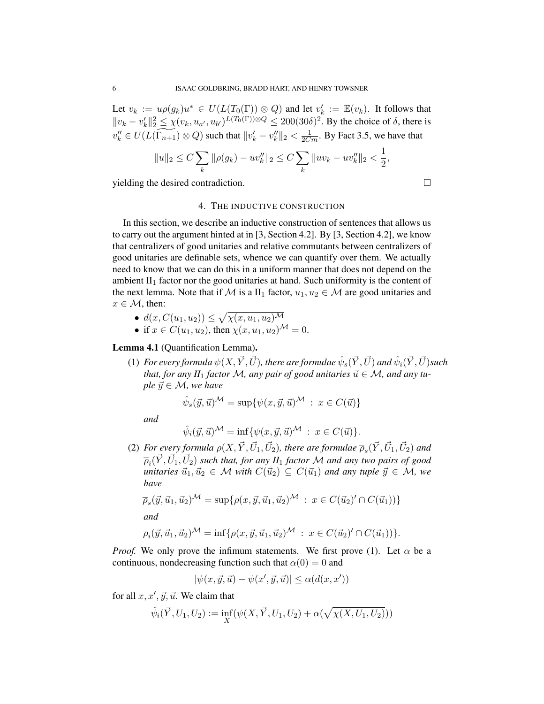Let  $v_k := u \rho(g_k) u^* \in U(L(T_0(\Gamma)) \otimes Q)$  and let  $v'_k := \mathbb{E}(v_k)$ . It follows that  $||v_k - v'_k||_2^2 \le \chi(v_k, u_{\alpha'}, u_{\alpha'})^{L(T_0(\Gamma)) \otimes Q} \le 200(30\delta)^2$ . By the choice of  $\delta$ , there is  $v''_k \in U(L(\widetilde{\Gamma_{n+1}}) \otimes Q)$  such that  $||v'_k - v''_k||_2 < \frac{1}{2Cm}$ . By Fact 3.5, we have that

$$
||u||_2 \le C \sum_k ||\rho(g_k) - uv_k''||_2 \le C \sum_k ||uv_k - uv_k''||_2 < \frac{1}{2},
$$

yielding the desired contradiction.

# 4. THE INDUCTIVE CONSTRUCTION

In this section, we describe an inductive construction of sentences that allows us to carry out the argument hinted at in [3, Section 4.2]. By [3, Section 4.2], we know that centralizers of good unitaries and relative commutants between centralizers of good unitaries are definable sets, whence we can quantify over them. We actually need to know that we can do this in a uniform manner that does not depend on the ambient  $II_1$  factor nor the good unitaries at hand. Such uniformity is the content of the next lemma. Note that if M is a  $II_1$  factor,  $u_1, u_2 \in \mathcal{M}$  are good unitaries and  $x \in \mathcal{M}$ , then:

- $d(x, C(u_1, u_2)) \leq \sqrt{\chi(x, u_1, u_2)^{\mathcal{M}}}$
- if  $x \in C(u_1, u_2)$ , then  $\chi(x, u_1, u_2)$ <sup>M</sup> = 0.

Lemma 4.1 (Quantification Lemma).

 $(1)$  *For every formula*  $\psi(X,\vec{Y},\vec{U})$ *, there are formulae*  $\hat{\psi}_s(\vec{Y},\vec{U})$  *and*  $\hat{\psi}_i(\vec{Y},\vec{U})$ *such that, for any II*<sub>1</sub> *factor M, any pair of good unitaries*  $\vec{u} \in M$ *, and any tuple*  $\vec{y} \in \mathcal{M}$ *, we have* 

$$
\hat{\psi}_s(\vec{y}, \vec{u})^{\mathcal{M}} = \sup \{ \psi(x, \vec{y}, \vec{u})^{\mathcal{M}} : x \in C(\vec{u}) \}
$$

*and*

$$
\hat{\psi}_i(\vec{y}, \vec{u})^{\mathcal{M}} = \inf \{ \psi(x, \vec{y}, \vec{u})^{\mathcal{M}} : x \in C(\vec{u}) \}.
$$

(2) For every formula  $\rho(X, \vec{Y}, \vec{U}_1, \vec{U}_2)$ , there are formulae  $\overline{\rho}_s(\vec{Y}, \vec{U}_1, \vec{U}_2)$  and  $\overline{\rho}_i(\vec{Y}, \vec{U}_1, \vec{U}_2)$  such that, for any  $I\!I_1$  factor  ${\cal M}$  and any two pairs of good *unitaries*  $\vec{u}_1, \vec{u}_2 \in M$  *with*  $C(\vec{u}_2) \subseteq C(\vec{u}_1)$  *and any tuple*  $\vec{y} \in M$ *, we have*

$$
\overline{\rho}_s(\vec{y}, \vec{u}_1, \vec{u}_2)^{\mathcal{M}} = \sup \{ \rho(x, \vec{y}, \vec{u}_1, \vec{u}_2)^{\mathcal{M}} \; : \; x \in C(\vec{u}_2)' \cap C(\vec{u}_1)) \}
$$
  
and

$$
\overline{\rho}_i(\vec{y}, \vec{u}_1, \vec{u}_2)^{\mathcal{M}} = \inf \{ \rho(x, \vec{y}, \vec{u}_1, \vec{u}_2)^{\mathcal{M}} : x \in C(\vec{u}_2)' \cap C(\vec{u}_1)) \}.
$$

*Proof.* We only prove the infimum statements. We first prove (1). Let  $\alpha$  be a continuous, nondecreasing function such that  $\alpha(0) = 0$  and

$$
|\psi(x,\vec{y},\vec{u}) - \psi(x',\vec{y},\vec{u})| \leq \alpha(d(x,x'))
$$

for all  $x, x', \vec{y}, \vec{u}$ . We claim that

$$
\hat{\psi}_i(\vec{Y}, U_1, U_2) := \inf_X (\psi(X, \vec{Y}, U_1, U_2) + \alpha(\sqrt{\chi(X, U_1, U_2)}))
$$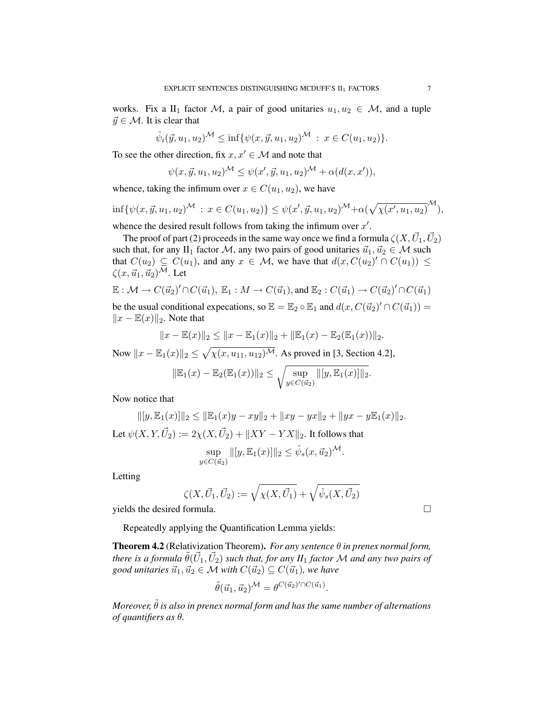works. Fix a II<sub>1</sub> factor M, a pair of good unitaries  $u_1, u_2 \in \mathcal{M}$ , and a tuple  $\vec{y} \in \mathcal{M}$ . It is clear that

$$
\hat{\psi}_i(\vec{y}, u_1, u_2)^{\mathcal{M}} \leq \inf \{ \psi(x, \vec{y}, u_1, u_2)^{\mathcal{M}} : x \in C(u_1, u_2) \}.
$$

To see the other direction, fix  $x, x' \in \mathcal{M}$  and note that

$$
\psi(x, \vec{y}, u_1, u_2)^{\mathcal{M}} \leq \psi(x', \vec{y}, u_1, u_2)^{\mathcal{M}} + \alpha(d(x, x')),
$$

whence, taking the infimum over  $x \in C(u_1, u_2)$ , we have

$$
\inf \{ \psi(x, \vec{y}, u_1, u_2)^\mathcal{M} : x \in C(u_1, u_2) \} \leq \psi(x', \vec{y}, u_1, u_2)^\mathcal{M} + \alpha (\sqrt{\chi(x', u_1, u_2)}^\mathcal{M}),
$$

whence the desired result follows from taking the infimum over  $x'$ .

The proof of part (2) proceeds in the same way once we find a formula  $\zeta(X,\vec{U}_1,\vec{U}_2)$ such that, for any II<sub>1</sub> factor M, any two pairs of good unitaries  $\vec{u}_1, \vec{u}_2 \in \mathcal{M}$  such that  $C(u_2) \subseteq C(u_1)$ , and any  $x \in M$ , we have that  $d(x, C(u_2)' \cap C(u_1)) \le$  $\zeta(x,\vec{u}_1,\vec{u}_2)^{\overline{\mathcal{M}}}$ . Let

$$
\mathbb{E}: \mathcal{M} \to C(\vec{u}_2)' \cap C(\vec{u}_1), \ \mathbb{E}_1: M \to C(\vec{u}_1), \text{and } \mathbb{E}_2: C(\vec{u}_1) \to C(\vec{u}_2)' \cap C(\vec{u}_1)
$$

be the usual conditional expecations, so  $\mathbb{E} = \mathbb{E}_2 \circ \mathbb{E}_1$  and  $d(x, C(\vec{u}_2)' \cap C(\vec{u}_1)) =$  $||x - \mathbb{E}(x)||_2$ . Note that

$$
||x - \mathbb{E}(x)||_2 \le ||x - \mathbb{E}_1(x)||_2 + ||\mathbb{E}_1(x) - \mathbb{E}_2(\mathbb{E}_1(x))||_2.
$$

Now  $||x - \mathbb{E}_{1}(x)||_2 \leq \sqrt{\chi(x, u_{11}, u_{12})^{1/4}}$ . As proved in [3, Section 4.2],

$$
\|\mathbb{E}_1(x) - \mathbb{E}_2(\mathbb{E}_1(x))\|_2 \le \sqrt{\sup_{y \in C(\vec{u}_2)} \|[y, \mathbb{E}_1(x)]\|_2}.
$$

Now notice that

$$
||[y, \mathbb{E}_1(x)]||_2 \le ||\mathbb{E}_1(x)y - xy||_2 + ||xy - yx||_2 + ||yx - y\mathbb{E}_1(x)||_2.
$$
  
Let  $\psi(X, Y, \vec{U}_2) := 2\chi(X, \vec{U}_2) + ||XY - YX||_2$ . It follows that

$$
\sup_{y \in C(\vec{u}_2)} ||[y, \mathbb{E}_1(x)]||_2 \le \hat{\psi}_s(x, \vec{u}_2)^{\mathcal{M}}.
$$

Letting

$$
\zeta(X,\vec{U}_1,\vec{U}_2):=\sqrt{\chi(X,\vec{U}_1)}+\sqrt{\hat{\psi}_s(X,\vec{U}_2)}
$$

yields the desired formula.

Repeatedly applying the Quantification Lemma yields:

Theorem 4.2 (Relativization Theorem). *For any sentence* θ *in prenex normal form,* there is a formula  $\tilde{\theta}(\vec{U}_1, \vec{U}_2)$  such that, for any  $I\!I_1$  factor  ${\cal M}$  and any two pairs of *good unitaries*  $\vec{u}_1, \vec{u}_2 \in \mathcal{M}$  *with*  $C(\vec{u}_2) \subseteq C(\vec{u}_1)$ *, we have* 

$$
\tilde{\theta}(\vec{u}_1, \vec{u}_2)^{\mathcal{M}} = \theta^{C(\vec{u}_2)' \cap C(\vec{u}_1)}.
$$

*Moreover,*  $\tilde{\theta}$  *is also in prenex normal form and has the same number of alternations of quantifiers as* θ*.*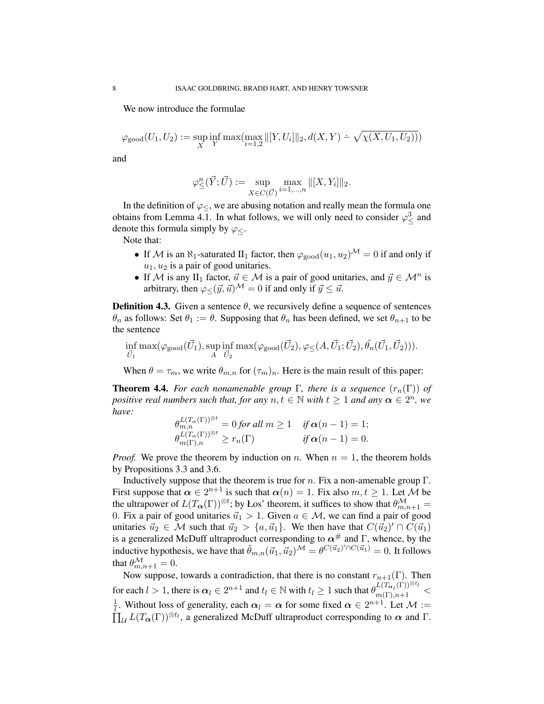We now introduce the formulae

$$
\varphi_{\text{good}}(U_1, U_2) := \sup_X \inf_Y \max(\max_{i=1,2} ||[Y, U_i]||_2, d(X, Y) \doteq \sqrt{\chi(X, U_1, U_2))})
$$

and

$$
\varphi_{\leq}^{n}(\vec{Y}; \vec{U}) := \sup_{X \in C(\vec{U})} \max_{i=1,\dots,n} ||[X, Y_{i}]||_{2}.
$$

In the definition of  $\varphi$ <, we are abusing notation and really mean the formula one obtains from Lemma 4.1. In what follows, we will only need to consider  $\varphi_{\leq}^3$  and denote this formula simply by  $\varphi$ <.

Note that:

- If M is an  $\aleph_1$ -saturated  $II_1$  factor, then  $\varphi_{\text{good}}(u_1, u_2)^\mathcal{M} = 0$  if and only if  $u_1, u_2$  is a pair of good unitaries.
- If M is any II<sub>1</sub> factor,  $\vec{u} \in M$  is a pair of good unitaries, and  $\vec{y} \in M^n$  is arbitrary, then  $\varphi < (\vec{y}, \vec{u})^{\mathcal{M}} = 0$  if and only if  $\vec{y} \leq \vec{u}$ .

**Definition 4.3.** Given a sentence  $\theta$ , we recursively define a sequence of sentences  $\theta_n$  as follows: Set  $\theta_1 := \theta$ . Supposing that  $\theta_n$  has been defined, we set  $\theta_{n+1}$  to be the sentence

$$
\inf_{\vec{U}_1} \max(\varphi_{\text{good}}(\vec{U}_1), \sup_A \inf_{\vec{U}_2} \max(\varphi_{\text{good}}(\vec{U}_2), \varphi_{\leq}(A, \vec{U}_1; \vec{U}_2), \tilde{\theta}_n(\vec{U}_1, \vec{U}_2))).
$$

When  $\theta = \tau_m$ , we write  $\theta_{m,n}$  for  $(\tau_m)_n$ . Here is the main result of this paper:

**Theorem 4.4.** *For each nonamenable group*  $\Gamma$ *, there is a sequence*  $(r_n(\Gamma))$  *of positive real numbers such that, for any*  $n, t \in \mathbb{N}$  *with*  $t \ge 1$  *and any*  $\alpha \in 2^n$ *, we have:* L(Tα(Γ))⊗<sup>t</sup>

$$
\theta_{m,n}^{L(T_{\alpha}(\Gamma))^{\otimes t}} = 0 \text{ for all } m \ge 1 \quad \text{ if } \alpha(n-1) = 1; \n\theta_{m(\Gamma),n}^{L(T_{\alpha}(\Gamma))^{\otimes t}} \ge r_n(\Gamma) \quad \text{ if } \alpha(n-1) = 0.
$$

*Proof.* We prove the theorem by induction on n. When  $n = 1$ , the theorem holds by Propositions 3.3 and 3.6.

Inductively suppose that the theorem is true for  $n$ . Fix a non-amenable group  $\Gamma$ . First suppose that  $\alpha \in 2^{n+1}$  is such that  $\alpha(n) = 1$ . Fix also  $m, t \ge 1$ . Let M be the ultrapower of  $L(T_{\boldsymbol{\alpha}}(\Gamma))^{\otimes t}$ ; by Łos' theorem, it suffices to show that  $\theta_{m,n+1}^{\mathcal{M}} =$ 0. Fix a pair of good unitaries  $\vec{u}_1 > 1$ . Given  $a \in \mathcal{M}$ , we can find a pair of good unitaries  $\vec{u}_2 \in \mathcal{M}$  such that  $\vec{u}_2 > \{a, \vec{u}_1\}$ . We then have that  $C(\vec{u}_2)' \cap C(\vec{u}_1)$ is a generalized McDuff ultraproduct corresponding to  $\alpha^{\#}$  and Γ, whence, by the inductive hypothesis, we have that  $\tilde{\theta}_{m,n}(\vec{u}_1, \vec{u}_2)^{\mathcal{M}} = \theta^{C(\vec{u}_2)' \cap C(\vec{u}_1)} = 0$ . It follows that  $\theta_{m,n+1}^{\mathcal{M}}=0.$ 

Now suppose, towards a contradiction, that there is no constant  $r_{n+1}(\Gamma)$ . Then for each  $l > 1$ , there is  $\alpha_l \in 2^{n+1}$  and  $t_l \in \mathbb{N}$  with  $t_l \ge 1$  such that  $\theta_{m(\Gamma),n+1}^{L(T_{\alpha_l}(\Gamma))^{\otimes t_l}} <$ 1  $\frac{1}{l}$ . Without loss of generality, each  $\alpha_l = \alpha$  for some fixed  $\alpha \in 2^{n+1}$ . Let  $\mathcal{M} :=$  $\prod_{\mathcal{U}} L(T_{\alpha}(\Gamma))^{\otimes t_{\mathcal{U}}}$ , a generalized McDuff ultraproduct corresponding to  $\alpha$  and  $\Gamma$ .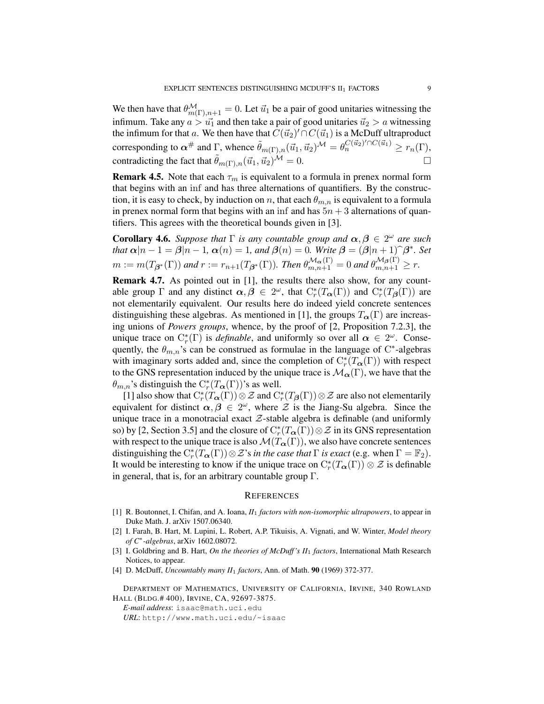We then have that  $\theta_{m(\Gamma),n+1}^{\mathcal{M}} = 0$ . Let  $\vec{u}_1$  be a pair of good unitaries witnessing the infimum. Take any  $a > u_1$  and then take a pair of good unitaries  $u_2 > a$  witnessing the infimum for that a. We then have that  $\overline{C}(\vec{u}_2)' \cap C(\vec{u}_1)$  is a McDuff ultraproduct corresponding to  $\alpha^{\#}$  and  $\Gamma$ , whence  $\tilde{\theta}_{m(\Gamma),n}(\vec{u}_1, \vec{u}_2)^{\mathcal{M}} = \theta_n^{C(\vec{u}_2)' \cap C(\vec{u}_1)} \ge r_n(\Gamma)$ , contradicting the fact that  $\tilde{\theta}_{m(\Gamma),n}(\vec{u}_1, \vec{u}_2)^{\mathcal{M}} = 0.$ 

**Remark 4.5.** Note that each  $\tau_m$  is equivalent to a formula in prenex normal form that begins with an inf and has three alternations of quantifiers. By the construction, it is easy to check, by induction on n, that each  $\theta_{m,n}$  is equivalent to a formula in prenex normal form that begins with an inf and has  $5n + 3$  alternations of quantifiers. This agrees with the theoretical bounds given in [3].

**Corollary 4.6.** *Suppose that*  $\Gamma$  *is any countable group and*  $\alpha, \beta \in 2^{\omega}$  *are such that*  $\alpha | n - 1 = \beta | n - 1$ ,  $\alpha(n) = 1$ , and  $\beta(n) = 0$ . Write  $\beta = (\beta | n + 1) \hat{\beta}^*$ . Set  $m:=m(T_{\mathcal{B}^*}(\Gamma))$  and  $r:=r_{n+1}(T_{\mathcal{B}^*}(\Gamma)).$  Then  $\theta_{m,n+1}^{\mathcal{M}_{\alpha}(\Gamma)}=0$  and  $\theta_{m,n+1}^{\mathcal{M}_{\beta}(\Gamma)}\geq r.$ 

Remark 4.7. As pointed out in [1], the results there also show, for any countable group  $\Gamma$  and any distinct  $\alpha, \beta \in 2^{\omega}$ , that  $C_r^*(T_\alpha(\Gamma))$  and  $C_r^*(T_\beta(\Gamma))$  are not elementarily equivalent. Our results here do indeed yield concrete sentences distinguishing these algebras. As mentioned in [1], the groups  $T_{\alpha}(\Gamma)$  are increasing unions of *Powers groups*, whence, by the proof of [2, Proposition 7.2.3], the unique trace on  $C_r^*(\Gamma)$  is *definable*, and uniformly so over all  $\alpha \in 2^\omega$ . Consequently, the  $\theta_{m,n}$ 's can be construed as formulae in the language of C<sup>\*</sup>-algebras with imaginary sorts added and, since the completion of  $C_r^*(T_{\alpha}(\Gamma))$  with respect to the GNS representation induced by the unique trace is  $\mathcal{M}_{\alpha}(\Gamma)$ , we have that the  $\theta_{m,n}$ 's distinguish the  $C_r^*(T_{\alpha}(\Gamma))$ 's as well.

[1] also show that  $C^*_r(T_\alpha(\Gamma))\otimes \mathcal{Z}$  and  $C^*_r(T_\beta(\Gamma))\otimes \mathcal{Z}$  are also not elementarily equivalent for distinct  $\alpha, \beta \in 2^{\omega}$ , where  $\mathcal{Z}$  is the Jiang-Su algebra. Since the unique trace in a monotracial exact  $Z$ -stable algebra is definable (and uniformly so) by [2, Section 3.5] and the closure of  $C_r^*(T_\alpha(\Gamma))\otimes \mathcal{Z}$  in its GNS representation with respect to the unique trace is also  $\mathcal{M}(T_{\alpha}(\Gamma))$ , we also have concrete sentences distinguishing the  $C_r^*(T_{\boldsymbol{\alpha}}(\Gamma)) \otimes \mathcal{Z}$ 's *in the case that*  $\Gamma$  *is exact* (e.g. when  $\Gamma = \mathbb{F}_2$ ). It would be interesting to know if the unique trace on  $C_r^*(T_\alpha(\Gamma)) \otimes \mathcal{Z}$  is definable in general, that is, for an arbitrary countable group  $\Gamma$ .

#### **REFERENCES**

- [1] R. Boutonnet, I. Chifan, and A. Ioana, *II*<sup>1</sup> *factors with non-isomorphic ultrapowers*, to appear in Duke Math. J. arXiv 1507.06340.
- [2] I. Farah, B. Hart, M. Lupini, L. Robert, A.P. Tikuisis, A. Vignati, and W. Winter, *Model theory of C*<sup>∗</sup> *-algebras*, arXiv 1602.08072.
- [3] I. Goldbring and B. Hart, *On the theories of McDuff 's II*<sup>1</sup> *factors*, International Math Research Notices, to appear.
- [4] D. McDuff, *Uncountably many II*<sup>1</sup> *factors*, Ann. of Math. 90 (1969) 372-377.

DEPARTMENT OF MATHEMATICS, UNIVERSITY OF CALIFORNIA, IRVINE, 340 ROWLAND HALL (BLDG.# 400), IRVINE, CA, 92697-3875.

*E-mail address*: isaac@math.uci.edu *URL*: http://www.math.uci.edu/~isaac